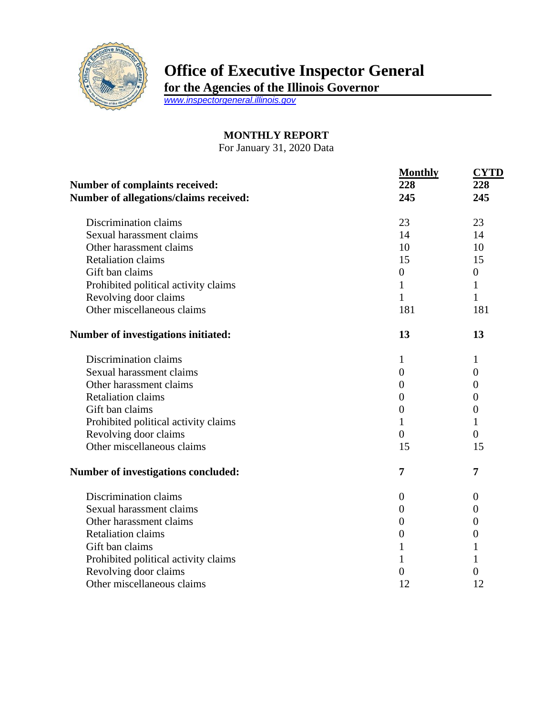

## **Office of Executive Inspector General**

**for the Agencies of the Illinois Governor**

*[www.inspectorgeneral.illinois.gov](http://www.inspectorgeneral.illinois.gov/)*

## **MONTHLY REPORT**

For January 31, 2020 Data

| Number of complaints received:         | <b>Monthly</b><br>228 | <b>CYTD</b><br>228 |
|----------------------------------------|-----------------------|--------------------|
| Number of allegations/claims received: | 245                   | 245                |
| Discrimination claims                  | 23                    | 23                 |
| Sexual harassment claims               | 14                    | 14                 |
| Other harassment claims                | 10                    | 10                 |
| <b>Retaliation claims</b>              | 15                    | 15                 |
| Gift ban claims                        | $\boldsymbol{0}$      | $\boldsymbol{0}$   |
| Prohibited political activity claims   | 1                     | $\mathbf 1$        |
| Revolving door claims                  | $\mathbf{1}$          | 1                  |
| Other miscellaneous claims             | 181                   | 181                |
| Number of investigations initiated:    | 13                    | 13                 |
| Discrimination claims                  | 1                     | 1                  |
| Sexual harassment claims               | $\overline{0}$        | $\overline{0}$     |
| Other harassment claims                | $\overline{0}$        | $\theta$           |
| <b>Retaliation claims</b>              | $\overline{0}$        | $\theta$           |
| Gift ban claims                        | $\overline{0}$        | $\overline{0}$     |
| Prohibited political activity claims   | 1                     | 1                  |
| Revolving door claims                  | $\overline{0}$        | $\theta$           |
| Other miscellaneous claims             | 15                    | 15                 |
| Number of investigations concluded:    | 7                     | 7                  |
| Discrimination claims                  | $\theta$              | $\theta$           |
| Sexual harassment claims               | $\theta$              | $\theta$           |
| Other harassment claims                | $\overline{0}$        | $\theta$           |
| <b>Retaliation claims</b>              | $\boldsymbol{0}$      | $\boldsymbol{0}$   |
| Gift ban claims                        | 1                     | 1                  |
| Prohibited political activity claims   | 1                     | 1                  |
| Revolving door claims                  | 0                     | $\overline{0}$     |
| Other miscellaneous claims             | 12                    | 12                 |